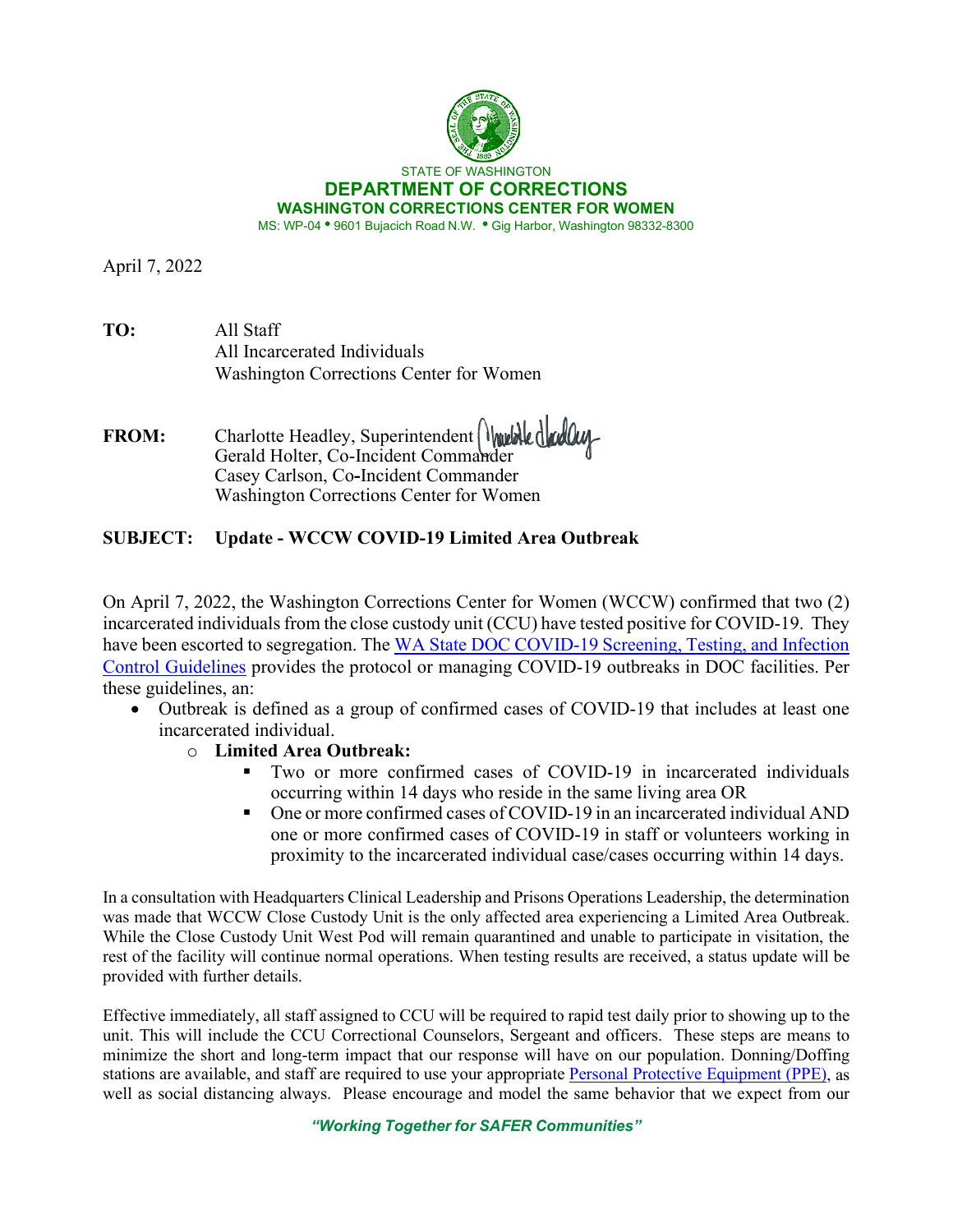

April 7, 2022

| TO: | All Staff                               |
|-----|-----------------------------------------|
|     | All Incarcerated Individuals            |
|     | Washington Corrections Center for Women |

FROM: Charlotte Headley, Superintendent Warkled and Gerald Holter, Co-Incident Commander Casey Carlson, Co**-**Incident Commander Washington Corrections Center for Women

## **SUBJECT: Update - WCCW COVID-19 Limited Area Outbreak**

On April 7, 2022, the Washington Corrections Center for Women (WCCW) confirmed that two (2) incarcerated individuals from the close custody unit (CCU) have tested positive for COVID-19. They have been escorted to segregation. The WA State DOC COVID-19 Screening, Testing, and Infection [Control Guidelines](https://doc.wa.gov/corrections/covid-19/docs/screening-testing-infection-control-guideline.pdf) provides the protocol or managing COVID-19 outbreaks in DOC facilities. Per these guidelines, an:

- Outbreak is defined as a group of confirmed cases of COVID-19 that includes at least one incarcerated individual.
	- o **Limited Area Outbreak:**
		- Two or more confirmed cases of COVID-19 in incarcerated individuals occurring within 14 days who reside in the same living area OR
		- One or more confirmed cases of COVID-19 in an incarcerated individual AND one or more confirmed cases of COVID-19 in staff or volunteers working in proximity to the incarcerated individual case/cases occurring within 14 days.

In a consultation with Headquarters Clinical Leadership and Prisons Operations Leadership, the determination was made that WCCW Close Custody Unit is the only affected area experiencing a Limited Area Outbreak. While the Close Custody Unit West Pod will remain quarantined and unable to participate in visitation, the rest of the facility will continue normal operations. When testing results are received, a status update will be provided with further details.

Effective immediately, all staff assigned to CCU will be required to rapid test daily prior to showing up to the unit. This will include the CCU Correctional Counselors, Sergeant and officers. These steps are means to minimize the short and long-term impact that our response will have on our population. Donning/Doffing stations are available, and staff are required to use your appropriat[e Personal Protective Equipment \(PPE\),](https://www.doc.wa.gov/corrections/covid-19/docs/ppe-matrix.pdf) as well as social distancing always. Please encourage and model the same behavior that we expect from our

*"Working Together for SAFER Communities"*